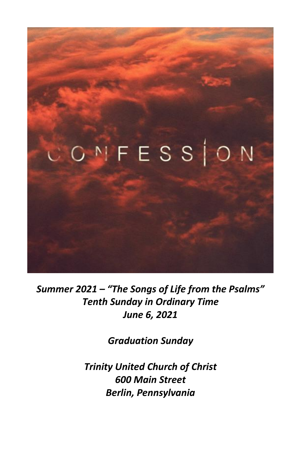

*Summer 2021 – "The Songs of Life from the Psalms" Tenth Sunday in Ordinary Time June 6, 2021*

*Graduation Sunday*

*Trinity United Church of Christ 600 Main Street Berlin, Pennsylvania*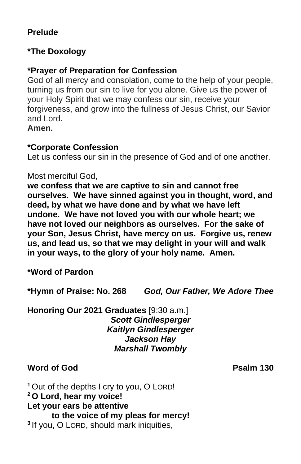#### **Prelude**

#### **\*The Doxology**

#### **\*Prayer of Preparation for Confession**

God of all mercy and consolation, come to the help of your people, turning us from our sin to live for you alone. Give us the power of your Holy Spirit that we may confess our sin, receive your forgiveness, and grow into the fullness of Jesus Christ, our Savior and Lord.

**Amen.**

#### **\*Corporate Confession**

Let us confess our sin in the presence of God and of one another.

#### Most merciful God,

**we confess that we are captive to sin and cannot free ourselves. We have sinned against you in thought, word, and deed, by what we have done and by what we have left undone. We have not loved you with our whole heart; we have not loved our neighbors as ourselves. For the sake of your Son, Jesus Christ, have mercy on us. Forgive us, renew us, and lead us, so that we may delight in your will and walk in your ways, to the glory of your holy name. Amen.**

**\*Word of Pardon**

**\*Hymn of Praise: No. 268** *God, Our Father, We Adore Thee*

#### **Honoring Our 2021 Graduates** [9:30 a.m.] *Scott Gindlesperger Kaitlyn Gindlesperger Jackson Hay Marshall Twombly*

#### **Word of God Psalm 130**

**<sup>1</sup>** Out of the depths I cry to you, O LORD! **<sup>2</sup> O Lord, hear my voice! Let your ears be attentive to the voice of my pleas for mercy! 3** If you, O LORD, should mark iniquities,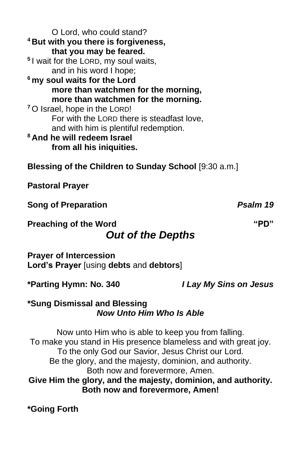O Lord, who could stand? **<sup>4</sup> But with you there is forgiveness, that you may be feared. 5** I wait for the LORD, my soul waits, and in his word I hope; **<sup>6</sup> my soul waits for the Lord more than watchmen for the morning, more than watchmen for the morning. <sup>7</sup>** O Israel, hope in the LORD! For with the LORD there is steadfast love, and with him is plentiful redemption. **<sup>8</sup> And he will redeem Israel from all his iniquities.** 

**Blessing of the Children to Sunday School** [9:30 a.m.]

**Pastoral Prayer**

**Song of Preparation** *Psalm 19*

**Preaching of the Word "PD"**

# *Out of the Depths*

**Prayer of Intercession Lord's Prayer** [using **debts** and **debtors**]

**\*Parting Hymn: No. 340** *I Lay My Sins on Jesus*

#### **\*Sung Dismissal and Blessing** *Now Unto Him Who Is Able*

Now unto Him who is able to keep you from falling. To make you stand in His presence blameless and with great joy. To the only God our Savior, Jesus Christ our Lord. Be the glory, and the majesty, dominion, and authority. Both now and forevermore, Amen. **Give Him the glory, and the majesty, dominion, and authority. Both now and forevermore, Amen!**

**\*Going Forth**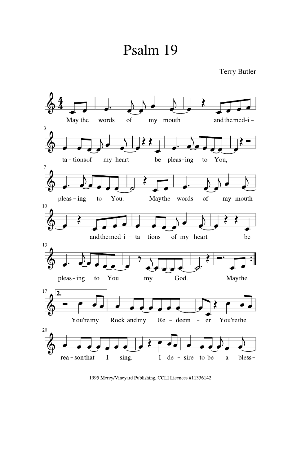# Psalm 19



1995 Mercy/Vineyard Publishing, CCLI Licences #11336142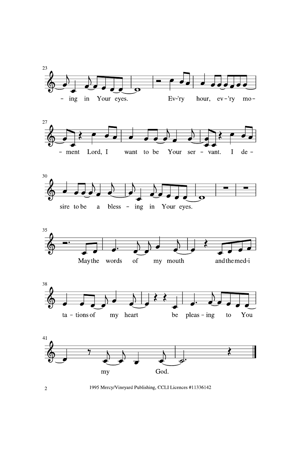











1995 Mercy/Vineyard Publishing, CCLI Licences #11336142

 $\overline{2}$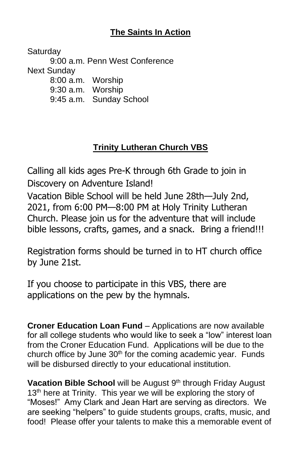# **The Saints In Action**

**Saturday** 9:00 a.m. Penn West Conference Next Sunday 8:00 a.m. Worship 9:30 a.m. Worship 9:45 a.m. Sunday School

# **Trinity Lutheran Church VBS**

Calling all kids ages Pre-K through 6th Grade to join in Discovery on Adventure Island!

Vacation Bible School will be held June 28th—July 2nd, 2021, from 6:00 PM—8:00 PM at Holy Trinity Lutheran Church. Please join us for the adventure that will include bible lessons, crafts, games, and a snack. Bring a friend!!!

Registration forms should be turned in to HT church office by June 21st.

If you choose to participate in this VBS, there are applications on the pew by the hymnals.

**Croner Education Loan Fund** – Applications are now available for all college students who would like to seek a "low" interest loan from the Croner Education Fund. Applications will be due to the church office by June  $30<sup>th</sup>$  for the coming academic year. Funds will be disbursed directly to your educational institution.

Vacation Bible School will be August 9<sup>th</sup> through Friday August 13<sup>th</sup> here at Trinity. This year we will be exploring the story of "Moses!" Amy Clark and Jean Hart are serving as directors. We are seeking "helpers" to guide students groups, crafts, music, and food! Please offer your talents to make this a memorable event of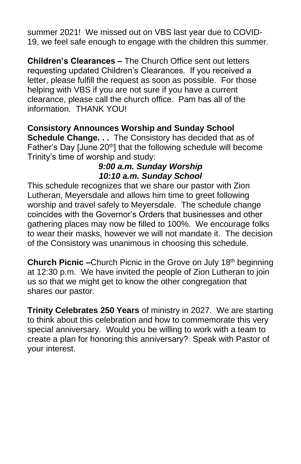summer 2021! We missed out on VBS last year due to COVID-19, we feel safe enough to engage with the children this summer.

**Children's Clearances –** The Church Office sent out letters requesting updated Children's Clearances. If you received a letter, please fulfill the request as soon as possible. For those helping with VBS if you are not sure if you have a current clearance, please call the church office. Pam has all of the information. THANK YOU!

#### **Consistory Announces Worship and Sunday School Schedule Change. . .** The Consistory has decided that as of Father's Day [June 20<sup>th</sup>] that the following schedule will become Trinity's time of worship and study:

#### *9:00 a.m. Sunday Worship 10:10 a.m. Sunday School*

This schedule recognizes that we share our pastor with Zion Lutheran, Meyersdale and allows him time to greet following worship and travel safely to Meyersdale. The schedule change coincides with the Governor's Orders that businesses and other gathering places may now be filled to 100%. We encourage folks to wear their masks, however we will not mandate it. The decision of the Consistory was unanimous in choosing this schedule.

**Church Picnic –**Church Picnic in the Grove on July 18<sup>th</sup> beginning at 12:30 p.m. We have invited the people of Zion Lutheran to join us so that we might get to know the other congregation that shares our pastor.

**Trinity Celebrates 250 Years** of ministry in 2027. We are starting to think about this celebration and how to commemorate this very special anniversary. Would you be willing to work with a team to create a plan for honoring this anniversary? Speak with Pastor of your interest.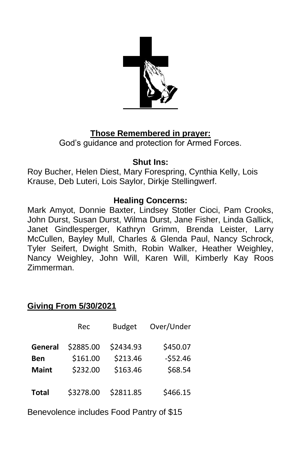

# **Those Remembered in prayer:**

God's guidance and protection for Armed Forces.

#### **Shut Ins:**

Roy Bucher, Helen Diest, Mary Forespring, Cynthia Kelly, Lois Krause, Deb Luteri, Lois Saylor, Dirkje Stellingwerf.

### **Healing Concerns:**

Mark Amyot, Donnie Baxter, Lindsey Stotler Cioci, Pam Crooks, John Durst, Susan Durst, Wilma Durst, Jane Fisher, Linda Gallick, Janet Gindlesperger, Kathryn Grimm, Brenda Leister, Larry McCullen, Bayley Mull, Charles & Glenda Paul, Nancy Schrock, Tyler Seifert, Dwight Smith, Robin Walker, Heather Weighley, Nancy Weighley, John Will, Karen Will, Kimberly Kay Roos Zimmerman.

# **Giving From 5/30/2021**

|              | Rec       | <b>Budget</b> | Over/Under |
|--------------|-----------|---------------|------------|
| General      | \$2885.00 | \$2434.93     | \$450.07   |
| Ben          | \$161.00  | \$213.46      | $-552.46$  |
| <b>Maint</b> | \$232.00  | \$163.46      | \$68.54    |
| <b>Total</b> | \$3278.00 | \$2811.85     | \$466.15   |

Benevolence includes Food Pantry of \$15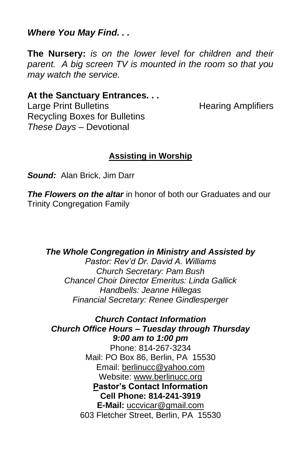*Where You May Find. . .*

**The Nursery:** *is on the lower level for children and their parent. A big screen TV is mounted in the room so that you may watch the service.*

#### **At the Sanctuary Entrances. . .**

Large Print Bulletins **Example 20** Hearing Amplifiers Recycling Boxes for Bulletins *These Days –* Devotional

#### **Assisting in Worship**

*Sound:* Alan Brick, Jim Darr

*The Flowers on the altar* in honor of both our Graduates and our Trinity Congregation Family

*The Whole Congregation in Ministry and Assisted by*

*Pastor: Rev'd Dr. David A. Williams Church Secretary: Pam Bush Chancel Choir Director Emeritus: Linda Gallick Handbells: Jeanne Hillegas Financial Secretary: Renee Gindlesperger*

*Church Contact Information Church Office Hours – Tuesday through Thursday 9:00 am to 1:00 pm* Phone: 814-267-3234 Mail: PO Box 86, Berlin, PA 15530 Email: [berlinucc@yahoo.com](about:blank) Website: [www.berlinucc.org](about:blank) **Pastor's Contact Information Cell Phone: 814-241-3919 E-Mail:** [uccvicar@gmail.com](about:blank) 603 Fletcher Street, Berlin, PA 15530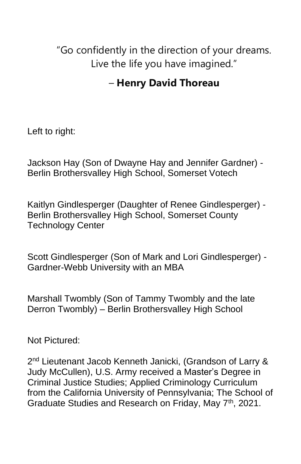"Go confidently in the direction of your dreams. Live the life you have imagined."

# – **Henry David Thoreau**

Left to right:

Jackson Hay (Son of Dwayne Hay and Jennifer Gardner) - Berlin Brothersvalley High School, Somerset Votech

Kaitlyn Gindlesperger (Daughter of Renee Gindlesperger) - Berlin Brothersvalley High School, Somerset County Technology Center

Scott Gindlesperger (Son of Mark and Lori Gindlesperger) - Gardner-Webb University with an MBA

Marshall Twombly (Son of Tammy Twombly and the late Derron Twombly) – Berlin Brothersvalley High School

Not Pictured:

2<sup>nd</sup> Lieutenant Jacob Kenneth Janicki, (Grandson of Larry & Judy McCullen), U.S. Army received a Master's Degree in Criminal Justice Studies; Applied Criminology Curriculum from the California University of Pennsylvania; The School of Graduate Studies and Research on Friday, May 7<sup>th</sup>, 2021.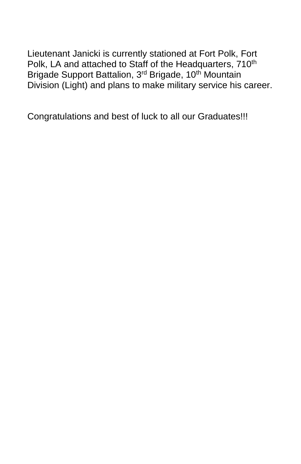Lieutenant Janicki is currently stationed at Fort Polk, Fort Polk, LA and attached to Staff of the Headquarters, 710<sup>th</sup> Brigade Support Battalion, 3<sup>rd</sup> Brigade, 10<sup>th</sup> Mountain Division (Light) and plans to make military service his career.

Congratulations and best of luck to all our Graduates!!!